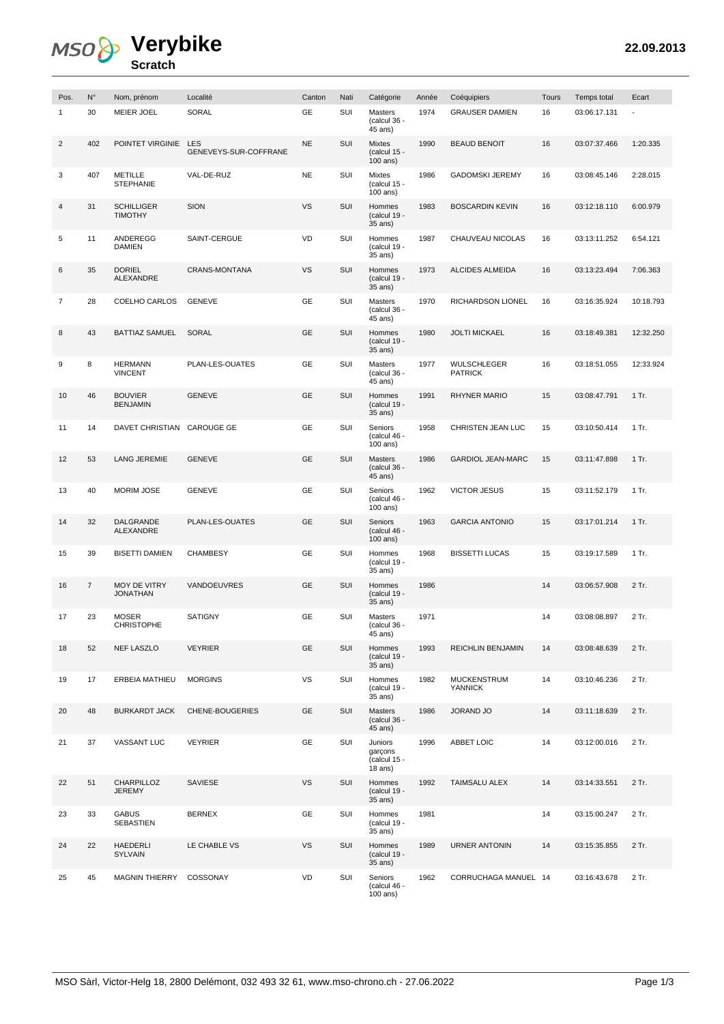## **Verybike**

| <b>Scratch</b> |  |
|----------------|--|

| Pos.           | $N^{\circ}$    | Nom, prénom                         | Localité                            | Canton    | Nati | Catégorie                                       | Année | Coéquipiers                          | Tours | Temps total  | Ecart     |
|----------------|----------------|-------------------------------------|-------------------------------------|-----------|------|-------------------------------------------------|-------|--------------------------------------|-------|--------------|-----------|
| $\mathbf{1}$   | 30             | <b>MEIER JOEL</b>                   | <b>SORAL</b>                        | GE        | SUI  | Masters<br>(calcul 36 -<br>45 ans)              | 1974  | <b>GRAUSER DAMIEN</b>                | 16    | 03:06:17.131 |           |
| $\overline{2}$ | 402            | POINTET VIRGINIE                    | <b>LES</b><br>GENEVEYS-SUR-COFFRANE | <b>NE</b> | SUI  | <b>Mixtes</b><br>(calcul 15 -<br>$100$ ans)     | 1990  | <b>BEAUD BENOIT</b>                  | 16    | 03:07:37.466 | 1:20.335  |
| 3              | 407            | <b>METILLE</b><br><b>STEPHANIE</b>  | VAL-DE-RUZ                          | <b>NE</b> | SUI  | Mixtes<br>(calcul 15 -<br>100 ans)              | 1986  | <b>GADOMSKI JEREMY</b>               | 16    | 03:08:45.146 | 2:28.015  |
| 4              | 31             | <b>SCHILLIGER</b><br><b>TIMOTHY</b> | <b>SION</b>                         | <b>VS</b> | SUI  | Hommes<br>(calcul 19 -<br>35 ans)               | 1983  | <b>BOSCARDIN KEVIN</b>               | 16    | 03:12:18.110 | 6:00.979  |
| 5              | 11             | ANDEREGG<br><b>DAMIEN</b>           | SAINT-CERGUE                        | VD        | SUI  | Hommes<br>(calcul 19 -<br>35 ans)               | 1987  | CHAUVEAU NICOLAS                     | 16    | 03:13:11.252 | 6:54.121  |
| 6              | 35             | <b>DORIEL</b><br><b>ALEXANDRE</b>   | CRANS-MONTANA                       | <b>VS</b> | SUI  | Hommes<br>(calcul 19 -<br>35 ans)               | 1973  | ALCIDES ALMEIDA                      | 16    | 03:13:23.494 | 7:06.363  |
| $\overline{7}$ | 28             | COELHO CARLOS                       | <b>GENEVE</b>                       | GE        | SUI  | Masters<br>(calcul 36 -<br>45 ans)              | 1970  | RICHARDSON LIONEL                    | 16    | 03:16:35.924 | 10:18.793 |
| 8              | 43             | <b>BATTIAZ SAMUEL</b>               | <b>SORAL</b>                        | GE        | SUI  | Hommes<br>(calcul 19 -<br>35 ans)               | 1980  | <b>JOLTI MICKAEL</b>                 | 16    | 03:18:49.381 | 12:32.250 |
| 9              | 8              | <b>HERMANN</b><br><b>VINCENT</b>    | PLAN-LES-OUATES                     | GE        | SUI  | Masters<br>(calcul 36 -<br>45 ans)              | 1977  | WULSCHLEGER<br><b>PATRICK</b>        | 16    | 03:18:51.055 | 12:33.924 |
| 10             | 46             | <b>BOUVIER</b><br><b>BENJAMIN</b>   | <b>GENEVE</b>                       | <b>GE</b> | SUI  | Hommes<br>(calcul 19 -<br>35 ans)               | 1991  | <b>RHYNER MARIO</b>                  | 15    | 03:08:47.791 | 1 Tr.     |
| 11             | 14             | DAVET CHRISTIAN CAROUGE GE          |                                     | GE        | SUI  | Seniors<br>(calcul 46 -<br>100 ans)             | 1958  | CHRISTEN JEAN LUC                    | 15    | 03:10:50.414 | $1$ Tr.   |
| 12             | 53             | <b>LANG JEREMIE</b>                 | <b>GENEVE</b>                       | <b>GE</b> | SUI  | Masters<br>$(calcul 36 -$<br>45 ans)            | 1986  | <b>GARDIOL JEAN-MARC</b>             | 15    | 03:11:47.898 | 1 Tr.     |
| 13             | 40             | <b>MORIM JOSE</b>                   | <b>GENEVE</b>                       | GE        | SUI  | Seniors<br>(calcul 46 -<br>100 ans)             | 1962  | <b>VICTOR JESUS</b>                  | 15    | 03:11:52.179 | 1 Tr.     |
| 14             | 32             | DALGRANDE<br><b>ALEXANDRE</b>       | PLAN-LES-OUATES                     | <b>GE</b> | SUI  | Seniors<br>(calcul 46 -<br>100 ans)             | 1963  | <b>GARCIA ANTONIO</b>                | 15    | 03:17:01.214 | 1 Tr.     |
| 15             | 39             | <b>BISETTI DAMIEN</b>               | <b>CHAMBESY</b>                     | GE        | SUI  | Hommes<br>(calcul 19 -<br>35 ans)               | 1968  | <b>BISSETTI LUCAS</b>                | 15    | 03:19:17.589 | 1 Tr.     |
| 16             | $\overline{7}$ | MOY DE VITRY<br><b>JONATHAN</b>     | VANDOEUVRES                         | GE        | SUI  | Hommes<br>(calcul 19 -<br>35 ans)               | 1986  |                                      | 14    | 03:06:57.908 | 2 Tr.     |
| 17             | 23             | <b>MOSER</b><br><b>CHRISTOPHE</b>   | <b>SATIGNY</b>                      | GE        | SUI  | <b>Masters</b><br>(calcul 36 -<br>45 ans)       | 1971  |                                      | 14    | 03:08:08.897 | 2 Tr.     |
| 18             | 52             | <b>NEF LASZLO</b>                   | <b>VEYRIER</b>                      | <b>GE</b> | SUI  | Hommes<br>(calcul 19 -<br>35 ans)               | 1993  | REICHLIN BENJAMIN                    | 14    | 03:08:48.639 | 2 Tr.     |
| 19             | 17             | ERBEIA MATHIEU                      | <b>MORGINS</b>                      | VS        | SUI  | Hommes<br>(calcul 19 -<br>35 ans)               | 1982  | <b>MUCKENSTRUM</b><br><b>YANNICK</b> | 14    | 03:10:46.236 | 2 Tr.     |
| 20             | 48             | <b>BURKARDT JACK</b>                | CHENE-BOUGERIES                     | <b>GE</b> | SUI  | Masters<br>(calcul 36 -<br>45 ans)              | 1986  | <b>JORAND JO</b>                     | 14    | 03:11:18.639 | 2 Tr.     |
| 21             | 37             | VASSANT LUC                         | <b>VEYRIER</b>                      | GE        | SUI  | Juniors<br>garçons<br>(calcul 15 -<br>$18$ ans) | 1996  | ABBET LOIC                           | 14    | 03:12:00.016 | 2 Tr.     |
| 22             | 51             | CHARPILLOZ<br>JEREMY                | SAVIESE                             | <b>VS</b> | SUI  | Hommes<br>(calcul 19 -<br>35 ans)               | 1992  | TAIMSALU ALEX                        | 14    | 03:14:33.551 | 2 Tr.     |
| 23             | 33             | <b>GABUS</b><br>SEBASTIEN           | <b>BERNEX</b>                       | GE        | SUI  | Hommes<br>(calcul 19 -<br>35 ans)               | 1981  |                                      | 14    | 03:15:00.247 | 2 Tr.     |
| 24             | 22             | HAEDERLI<br>SYLVAIN                 | LE CHABLE VS                        | <b>VS</b> | SUI  | Hommes<br>(calcul 19 -<br>35 ans)               | 1989  | <b>URNER ANTONIN</b>                 | 14    | 03:15:35.855 | 2 Tr.     |
| 25             | 45             | MAGNIN THIERRY                      | COSSONAY                            | VD        | SUI  | Seniors<br>(calcul 46 -<br>100 ans)             | 1962  | CORRUCHAGA MANUEL 14                 |       | 03:16:43.678 | 2 Tr.     |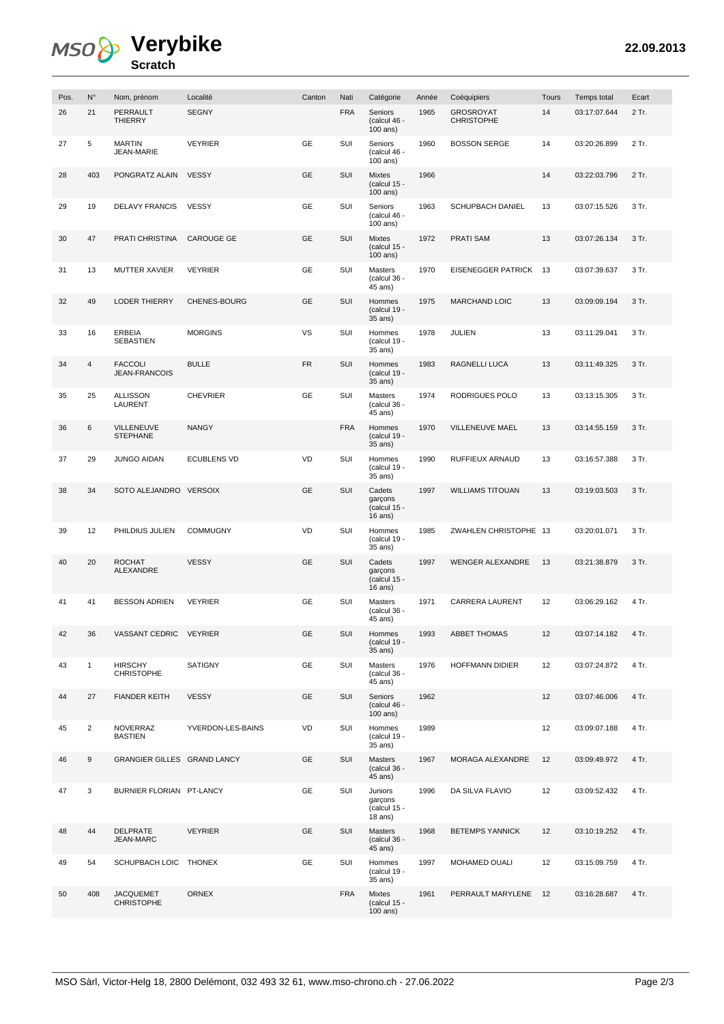## **Verybike Scratch**

| Pos. | $N^{\circ}$    | Nom, prénom                            | Localité           | Canton    | Nati       | Catégorie                                        | Année | Coéquipiers                           | Tours | Temps total  | Ecart |
|------|----------------|----------------------------------------|--------------------|-----------|------------|--------------------------------------------------|-------|---------------------------------------|-------|--------------|-------|
| 26   | 21             | PERRAULT<br><b>THIERRY</b>             | <b>SEGNY</b>       |           | <b>FRA</b> | Seniors<br>(calcul 46 -<br>100 ans)              | 1965  | <b>GROSROYAT</b><br><b>CHRISTOPHE</b> | 14    | 03:17:07.644 | 2 Tr. |
| 27   | 5              | <b>MARTIN</b><br>JEAN-MARIE            | <b>VEYRIER</b>     | GE        | SUI        | Seniors<br>(calcul 46 -<br>$100$ ans)            | 1960  | <b>BOSSON SERGE</b>                   | 14    | 03:20:26.899 | 2 Tr. |
| 28   | 403            | PONGRATZ ALAIN                         | <b>VESSY</b>       | <b>GE</b> | SUI        | <b>Mixtes</b><br>(calcul 15 -<br>100 ans)        | 1966  |                                       | 14    | 03:22:03.796 | 2 Tr. |
| 29   | 19             | <b>DELAVY FRANCIS</b>                  | <b>VESSY</b>       | <b>GE</b> | SUI        | Seniors<br>(calcul 46 -<br>100 ans)              | 1963  | <b>SCHUPBACH DANIEL</b>               | 13    | 03:07:15.526 | 3 Tr. |
| 30   | 47             | PRATI CHRISTINA                        | <b>CAROUGE GE</b>  | <b>GE</b> | SUI        | Mixtes<br>(calcul $15 -$<br>100 ans)             | 1972  | <b>PRATI SAM</b>                      | 13    | 03:07:26.134 | 3 Tr. |
| 31   | 13             | <b>MUTTER XAVIER</b>                   | <b>VEYRIER</b>     | GE        | SUI        | Masters<br>(calcul 36 -<br>45 ans)               | 1970  | <b>EISENEGGER PATRICK</b>             | - 13  | 03:07:39.637 | 3 Tr. |
| 32   | 49             | <b>LODER THIERRY</b>                   | CHENES-BOURG       | <b>GE</b> | SUI        | Hommes<br>(calcul 19 -<br>35 ans)                | 1975  | <b>MARCHAND LOIC</b>                  | 13    | 03:09:09.194 | 3 Tr. |
| 33   | 16             | <b>ERBEIA</b><br><b>SEBASTIEN</b>      | <b>MORGINS</b>     | VS        | SUI        | Hommes<br>(calcul 19 -<br>35 ans)                | 1978  | <b>JULIEN</b>                         | 13    | 03:11:29.041 | 3 Tr. |
| 34   | $\sqrt{4}$     | <b>FACCOLI</b><br><b>JEAN-FRANCOIS</b> | <b>BULLE</b>       | <b>FR</b> | SUI        | Hommes<br>(calcul 19 -<br>35 ans)                | 1983  | RAGNELLI LUCA                         | 13    | 03:11:49.325 | 3 Tr. |
| 35   | 25             | <b>ALLISSON</b><br>LAURENT             | <b>CHEVRIER</b>    | GE        | SUI        | <b>Masters</b><br>(calcul 36 -<br>45 ans)        | 1974  | RODRIGUES POLO                        | 13    | 03:13:15.305 | 3 Tr. |
| 36   | 6              | <b>VILLENEUVE</b><br><b>STEPHANE</b>   | <b>NANGY</b>       |           | <b>FRA</b> | Hommes<br>(calcul 19 -<br>35 ans)                | 1970  | VILLENEUVE MAEL                       | 13    | 03:14:55.159 | 3 Tr. |
| 37   | 29             | <b>JUNGO AIDAN</b>                     | <b>ECUBLENS VD</b> | VD        | SUI        | Hommes<br>(calcul 19 -<br>35 ans)                | 1990  | RUFFIEUX ARNAUD                       | 13    | 03:16:57.388 | 3 Tr. |
| 38   | 34             | SOTO ALEJANDRO VERSOIX                 |                    | <b>GE</b> | SUI        | Cadets<br>garçons<br>(calcul 15 -<br>$16$ ans)   | 1997  | <b>WILLIAMS TITOUAN</b>               | 13    | 03:19:03.503 | 3 Tr. |
| 39   | 12             | PHILDIUS JULIEN                        | <b>COMMUGNY</b>    | VD        | SUI        | Hommes<br>$(calcul 19 -$<br>35 ans)              | 1985  | ZWAHLEN CHRISTOPHE 13                 |       | 03:20:01.071 | 3 Tr. |
| 40   | 20             | <b>ROCHAT</b><br>ALEXANDRE             | <b>VESSY</b>       | <b>GE</b> | SUI        | Cadets<br>garçons<br>(calcul $15 -$<br>$16$ ans) | 1997  | <b>WENGER ALEXANDRE</b>               | 13    | 03:21:38.879 | 3 Tr. |
| 41   | 41             | <b>BESSON ADRIEN</b>                   | <b>VEYRIER</b>     | GE        | SUI        | <b>Masters</b><br>(calcul 36 -<br>45 ans)        | 1971  | <b>CARRERA LAURENT</b>                | 12    | 03:06:29.162 | 4 Tr. |
| 42   | 36             | VASSANT CEDRIC VEYRIER                 |                    | GE        | SUI        | Hommes<br>$(calcul 19 -$<br>35 ans)              | 1993  | <b>ABBET THOMAS</b>                   | 12    | 03:07:14.182 | 4 Tr. |
| 43   | $\mathbf{1}$   | <b>HIRSCHY</b><br><b>CHRISTOPHE</b>    | <b>SATIGNY</b>     | GE        | SUI        | Masters<br>(calcul 36 -<br>45 ans)               | 1976  | <b>HOFFMANN DIDIER</b>                | 12    | 03:07:24.872 | 4 Tr. |
| 44   | 27             | <b>FIANDER KEITH</b>                   | <b>VESSY</b>       | <b>GE</b> | SUI        | Seniors<br>(calcul 46 -<br>100 ans)              | 1962  |                                       | 12    | 03:07:46.006 | 4 Tr. |
| 45   | $\overline{c}$ | <b>NOVERRAZ</b><br><b>BASTIEN</b>      | YVERDON-LES-BAINS  | <b>VD</b> | SUI        | Hommes<br>(calcul 19 -<br>35 ans)                | 1989  |                                       | 12    | 03:09:07.188 | 4 Tr. |
| 46   | 9              | GRANGIER GILLES GRAND LANCY            |                    | GE        | SUI        | Masters<br>(calcul 36 -<br>45 ans)               | 1967  | MORAGA ALEXANDRE                      | 12    | 03:09:49.972 | 4 Tr. |
| 47   | 3              | BURNIER FLORIAN PT-LANCY               |                    | GE        | SUI        | Juniors<br>garçons<br>(calcul 15 -<br>$18$ ans)  | 1996  | DA SILVA FLAVIO                       | 12    | 03:09:52.432 | 4 Tr. |
| 48   | 44             | <b>DELPRATE</b><br>JEAN-MARC           | <b>VEYRIER</b>     | <b>GE</b> | SUI        | Masters<br>(calcul 36 -<br>45 ans)               | 1968  | <b>BETEMPS YANNICK</b>                | 12    | 03:10:19.252 | 4 Tr. |
| 49   | 54             | SCHUPBACH LOIC THONEX                  |                    | GE        | SUI        | Hommes<br>(calcul 19 -<br>35 ans)                | 1997  | MOHAMED OUALI                         | 12    | 03:15:09.759 | 4 Tr. |
| 50   | 408            | <b>JACQUEMET</b><br><b>CHRISTOPHE</b>  | <b>ORNEX</b>       |           | <b>FRA</b> | Mixtes<br>(calcul 15 -<br>100 ans)               | 1961  | PERRAULT MARYLENE                     | 12    | 03:16:28.687 | 4 Tr. |